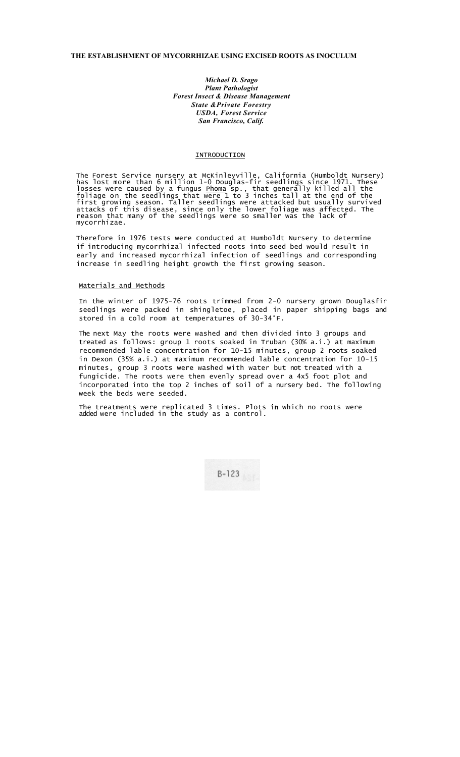## **THE ESTABLISHMENT OF MYCORRHIZAE USING EXCISED ROOTS AS INOCULUM**

*Michael D. Srago Plant Pathologist Forest Insect & Disease Management State &Private Forestry USDA, Forest Service San Francisco, Calif.*

## INTRODUCTION

The Forest Service nursery at McKinleyville, California (Humboldt Nursery) has lost more than 6 million 1-0 Douglas-fir seedlings since 1971. These losses were caused by a fungus <u>Phoma</u> sp., that generally killed all the foliage on the seedlings that were 1 to 3 inches tall at the end of the first growing season. Taller seedlings were attacked but usually survived attacks of this disease, since only the lower foliage was affected. The reason that many of the seedlings were so smaller was the lack of mycorrhizae.

Therefore in 1976 tests were conducted at Humboldt Nursery to determine if introducing mycorrhizal infected roots into seed bed would result in early and increased mycorrhizal infection of seedlings and corresponding increase in seedling height growth the first growing season.

## Materials and Methods

In the winter of 1975-76 roots trimmed from 2-0 nursery grown Douglasfir seedlings were packed in shingletoe, placed in paper shipping bags and stored in a cold room at temperatures of 30-34°F.

The next May the roots were washed and then divided into 3 groups and treated as follows: group 1 roots soaked in Truban (30% a.i.) at maximum recommended lable concentration for 10-15 minutes, group 2 roots soaked in Dexon (35% a.i.) at maximum recommended lable concentration for 10-15 minutes, group 3 roots were washed with water but not treated with a fungicide. The roots were then evenly spread over a 4x5 foot plot and incorporated into the top 2 inches of soil of a nursery bed. The following week the beds were seeded.

The treatments were replicated 3 times. Plots in which no roots were added were included in the study as a control.

 $B-123$